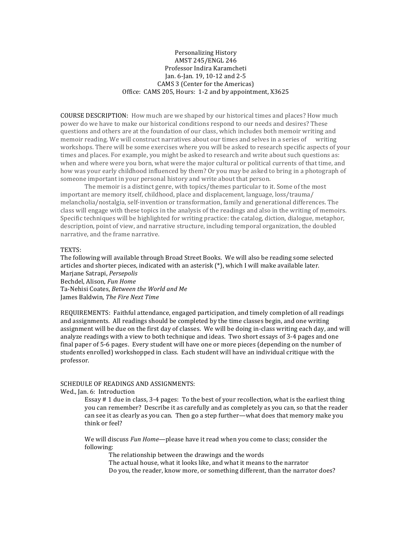## Personalizing History AMST 245/ENGL 246 Professor Indira Karamcheti Jan. 6-Jan. 19, 10-12 and 2-5 CAMS 3 (Center for the Americas) Office: CAMS 205, Hours: 1-2 and by appointment, X3625

**COURSE DESCRIPTION:** How much are we shaped by our historical times and places? How much power do we have to make our historical conditions respond to our needs and desires? These questions and others are at the foundation of our class, which includes both memoir writing and memoir reading. We will construct narratives about our times and selves in a series of writing workshops. There will be some exercises where you will be asked to research specific aspects of your times and places. For example, you might be asked to research and write about such questions as: when and where were you born, what were the major cultural or political currents of that time, and how was your early childhood influenced by them? Or you may be asked to bring in a photograph of someone important in your personal history and write about that person.

The memoir is a distinct genre, with topics/themes particular to it. Some of the most important are memory itself, childhood, place and displacement, language, loss/trauma/ melancholia/nostalgia, self-invention or transformation, family and generational differences. The class will engage with these topics in the analysis of the readings and also in the writing of memoirs. Specific techniques will be highlighted for writing practice: the catalog, diction, dialogue, metaphor, description, point of view, and narrative structure, including temporal organization, the doubled narrative, and the frame narrative.

## TEXTS:

The following will available through Broad Street Books. We will also be reading some selected articles and shorter pieces, indicated with an asterisk  $(*)$ , which I will make available later. Marjane Satrapi, *Persepolis* Bechdel, Alison, *Fun Home* Ta-Nehisi Coates, *Between the World and Me* James Baldwin*, The Fire Next Time*

REQUIREMENTS: Faithful attendance, engaged participation, and timely completion of all readings and assignments. All readings should be completed by the time classes begin, and one writing assignment will be due on the first day of classes. We will be doing in-class writing each day, and will analyze readings with a view to both technique and ideas. Two short essays of 3-4 pages and one final paper of 5-6 pages. Every student will have one or more pieces (depending on the number of students enrolled) workshopped in class. Each student will have an individual critique with the professor. 

## SCHEDULE OF READINGS AND ASSIGNMENTS:

Wed., Jan. 6: Introduction

Essay  $\#$  1 due in class, 3-4 pages: To the best of your recollection, what is the earliest thing you can remember? Describe it as carefully and as completely as you can, so that the reader can see it as clearly as you can. Then go a step further—what does that memory make you think or feel?

We will discuss *Fun Home*—please have it read when you come to class; consider the following:

The relationship between the drawings and the words

The actual house, what it looks like, and what it means to the narrator

Do you, the reader, know more, or something different, than the narrator does?